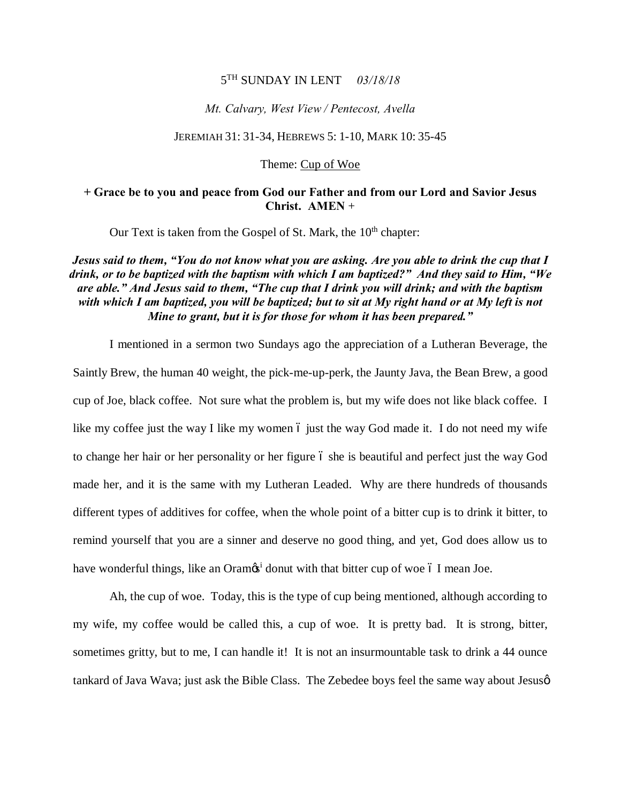### 5TH SUNDAY IN LENT *03/18/18*

### *Mt. Calvary, West View / Pentecost, Avella*

### JEREMIAH 31: 31-34, HEBREWS 5: 1-10, MARK 10: 35-45

Theme: Cup of Woe

### **+ Grace be to you and peace from God our Father and from our Lord and Savior Jesus Christ. AMEN** +

Our Text is taken from the Gospel of St. Mark, the  $10<sup>th</sup>$  chapter:

# *Jesus said to them, "You do not know what you are asking. Are you able to drink the cup that I drink, or to be baptized with the baptism with which I am baptized?" And they said to Him, "We are able." And Jesus said to them, "The cup that I drink you will drink; and with the baptism with which I am baptized, you will be baptized; but to sit at My right hand or at My left is not Mine to grant, but it is for those for whom it has been prepared."*

I mentioned in a sermon two Sundays ago the appreciation of a Lutheran Beverage, the Saintly Brew, the human 40 weight, the pick-me-up-perk, the Jaunty Java, the Bean Brew, a good cup of Joe, black coffee. Not sure what the problem is, but my wife does not like black coffee. I like my coffee just the way I like my women 6 just the way God made it. I do not need my wife to change her hair or her personality or her figure 6 she is beautiful and perfect just the way God made her, and it is the same with my Lutheran Leaded. Why are there hundreds of thousands different types of additives for coffee, when the whole point of a bitter cup is to drink it bitter, to remind yourself that you are a sinner and deserve no good thing, and yet, God does allow us to have wonderful things, like an Oram $\mathfrak{G}^i$  donut with that bitter cup of woe 6 I mean Joe.

Ah, the cup of woe. Today, this is the type of cup being mentioned, although according to my wife, my coffee would be called this, a cup of woe. It is pretty bad. It is strong, bitter, sometimes gritty, but to me, I can handle it! It is not an insurmountable task to drink a 44 ounce tankard of Java Wava; just ask the Bible Class. The Zebedee boys feel the same way about Jesusø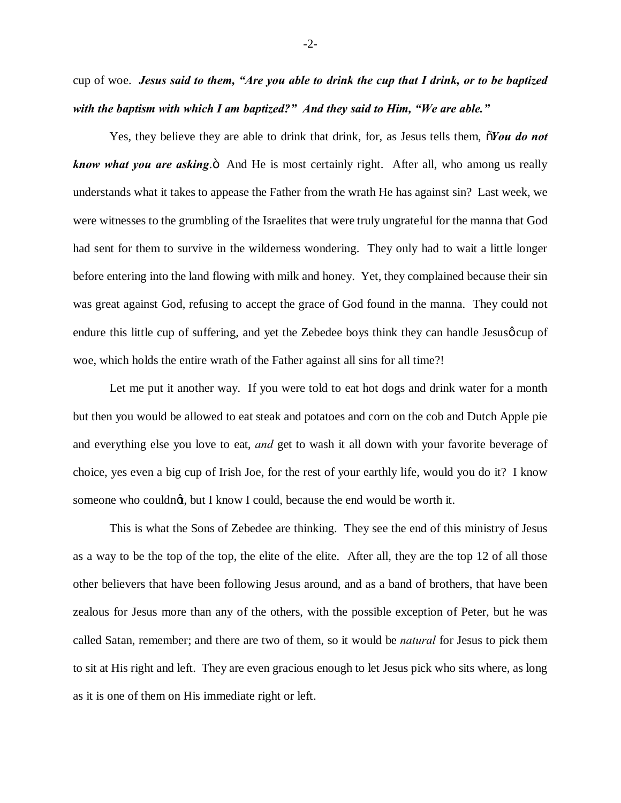cup of woe. *Jesus said to them, "Are you able to drink the cup that I drink, or to be baptized with the baptism with which I am baptized?" And they said to Him, "We are able."*

Yes, they believe they are able to drink that drink, for, as Jesus tells them,  $\delta$ *You do not know what you are asking*. $\ddot{o}$  And He is most certainly right. After all, who among us really understands what it takes to appease the Father from the wrath He has against sin? Last week, we were witnesses to the grumbling of the Israelites that were truly ungrateful for the manna that God had sent for them to survive in the wilderness wondering. They only had to wait a little longer before entering into the land flowing with milk and honey. Yet, they complained because their sin was great against God, refusing to accept the grace of God found in the manna. They could not endure this little cup of suffering, and yet the Zebedee boys think they can handle Jesus of cup of woe, which holds the entire wrath of the Father against all sins for all time?!

Let me put it another way. If you were told to eat hot dogs and drink water for a month but then you would be allowed to eat steak and potatoes and corn on the cob and Dutch Apple pie and everything else you love to eat, *and* get to wash it all down with your favorite beverage of choice, yes even a big cup of Irish Joe, for the rest of your earthly life, would you do it? I know someone who couldng, but I know I could, because the end would be worth it.

This is what the Sons of Zebedee are thinking. They see the end of this ministry of Jesus as a way to be the top of the top, the elite of the elite. After all, they are the top 12 of all those other believers that have been following Jesus around, and as a band of brothers, that have been zealous for Jesus more than any of the others, with the possible exception of Peter, but he was called Satan, remember; and there are two of them, so it would be *natural* for Jesus to pick them to sit at His right and left. They are even gracious enough to let Jesus pick who sits where, as long as it is one of them on His immediate right or left.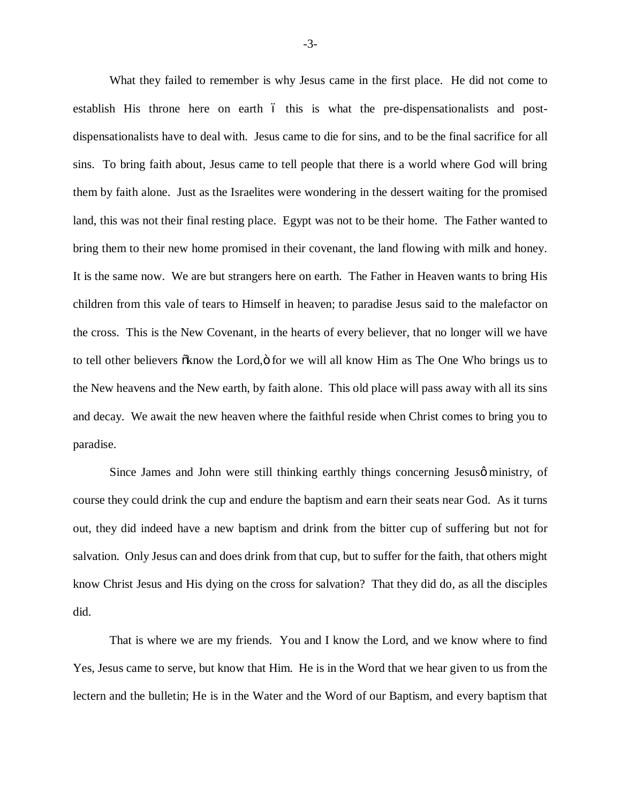What they failed to remember is why Jesus came in the first place. He did not come to establish His throne here on earth 6 this is what the pre-dispensationalists and postdispensationalists have to deal with. Jesus came to die for sins, and to be the final sacrifice for all sins. To bring faith about, Jesus came to tell people that there is a world where God will bring them by faith alone. Just as the Israelites were wondering in the dessert waiting for the promised land, this was not their final resting place. Egypt was not to be their home. The Father wanted to bring them to their new home promised in their covenant, the land flowing with milk and honey. It is the same now. We are but strangers here on earth. The Father in Heaven wants to bring His children from this vale of tears to Himself in heaven; to paradise Jesus said to the malefactor on the cross. This is the New Covenant, in the hearts of every believer, that no longer will we have to tell other believers  $\tilde{\alpha}$ know the Lord, $\ddot{\alpha}$  for we will all know Him as The One Who brings us to the New heavens and the New earth, by faith alone. This old place will pass away with all its sins and decay. We await the new heaven where the faithful reside when Christ comes to bring you to paradise.

Since James and John were still thinking earthly things concerning Jesus oministry, of course they could drink the cup and endure the baptism and earn their seats near God. As it turns out, they did indeed have a new baptism and drink from the bitter cup of suffering but not for salvation. Only Jesus can and does drink from that cup, but to suffer for the faith, that others might know Christ Jesus and His dying on the cross for salvation? That they did do, as all the disciples did.

That is where we are my friends. You and I know the Lord, and we know where to find Yes, Jesus came to serve, but know that Him. He is in the Word that we hear given to us from the lectern and the bulletin; He is in the Water and the Word of our Baptism, and every baptism that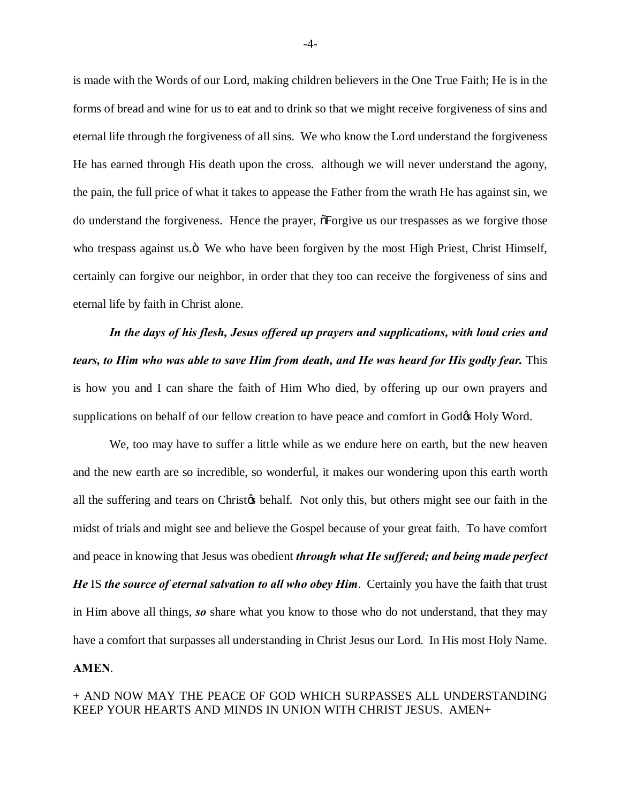is made with the Words of our Lord, making children believers in the One True Faith; He is in the forms of bread and wine for us to eat and to drink so that we might receive forgiveness of sins and eternal life through the forgiveness of all sins. We who know the Lord understand the forgiveness He has earned through His death upon the cross. although we will never understand the agony, the pain, the full price of what it takes to appease the Father from the wrath He has against sin, we do understand the forgiveness. Hence the prayer,  $\tilde{\sigma}$ Forgive us our trespasses as we forgive those who trespass against us. $\ddot{o}$  We who have been forgiven by the most High Priest, Christ Himself, certainly can forgive our neighbor, in order that they too can receive the forgiveness of sins and eternal life by faith in Christ alone.

*In the days of his flesh, Jesus offered up prayers and supplications, with loud cries and tears, to Him who was able to save Him from death, and He was heard for His godly fear. This* is how you and I can share the faith of Him Who died, by offering up our own prayers and supplications on behalf of our fellow creation to have peace and comfort in God& Holy Word.

We, too may have to suffer a little while as we endure here on earth, but the new heaven and the new earth are so incredible, so wonderful, it makes our wondering upon this earth worth all the suffering and tears on Christ<sub>of</sub> behalf. Not only this, but others might see our faith in the midst of trials and might see and believe the Gospel because of your great faith. To have comfort and peace in knowing that Jesus was obedient *through what He suffered; and being made perfect He* IS *the source of eternal salvation to all who obey Him*. Certainly you have the faith that trust in Him above all things, *so* share what you know to those who do not understand, that they may have a comfort that surpasses all understanding in Christ Jesus our Lord. In His most Holy Name. **AMEN**.

## + AND NOW MAY THE PEACE OF GOD WHICH SURPASSES ALL UNDERSTANDING KEEP YOUR HEARTS AND MINDS IN UNION WITH CHRIST JESUS. AMEN+

-4-